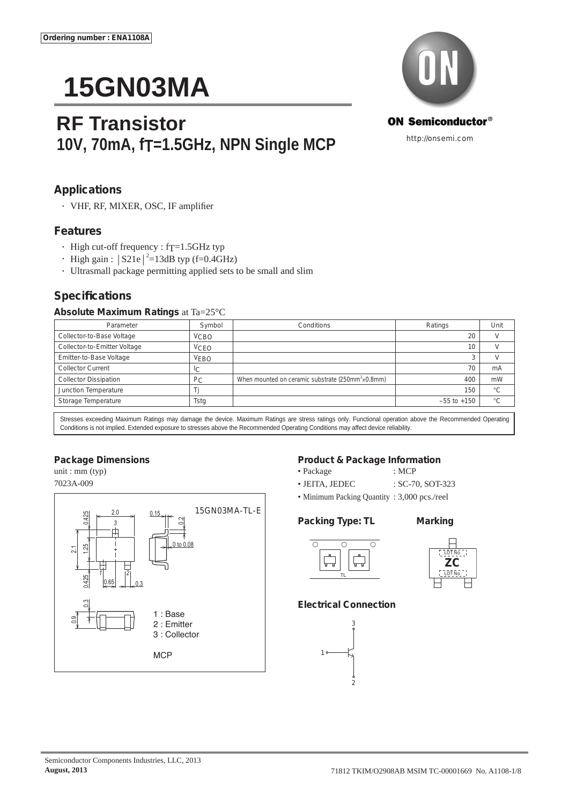# **15GN03MA**

# **RF Transistor 10V, 70mA, fT=1.5GHz, NPN Single MCP**



# **Applications**

 $\cdot$  VHF, RF, MIXER, OSC, IF amplifier

## **Features**

- High cut-off frequency : f<sub>T</sub>=1.5GHz typ
- High gain :  $|S21e|^{2} = 13dB$  typ (f=0.4GHz)
- Ultrasmall package permitting applied sets to be small and slim

# **Specifi cations**

#### **Absolute Maximum Ratings** at Ta=25°C

| Parameter                    | Symbol      | Conditions                                             | Ratings         | Unit        |
|------------------------------|-------------|--------------------------------------------------------|-----------------|-------------|
| Collector-to-Base Voltage    | <b>VCBO</b> |                                                        | 20              |             |
| Collector-to-Emitter Voltage | <b>VCEO</b> |                                                        | 10              |             |
| Emitter-to-Base Voltage      | <b>VEBO</b> |                                                        |                 |             |
| <b>Collector Current</b>     | IС          |                                                        | 70              | mA          |
| <b>Collector Dissipation</b> | $P_{C}$     | When mounted on ceramic substrate ( $250$ mm $250$ mm) | 400             | mW          |
| Junction Temperature         |             |                                                        | 150             | $^{\circ}C$ |
| Storage Temperature          | Tstg        |                                                        | $-55$ to $+150$ | $^{\circ}C$ |

Stresses exceeding Maximum Ratings may damage the device. Maximum Ratings are stress ratings only. Functional operation above the Recommended Operating Conditions is not implied. Extended exposure to stresses above the Recommended Operating Conditions may affect device reliability.

### **Package Dimensions**

unit : mm (typ) 7023A-009



# **Product & Package Information**

• Package : MCP

• JEITA, JEDEC : SC-70, SOT-323

• Minimum Packing Quantity : 3,000 pcs./reel

#### **Packing Type: TL Marking**







**Electrical Connection**

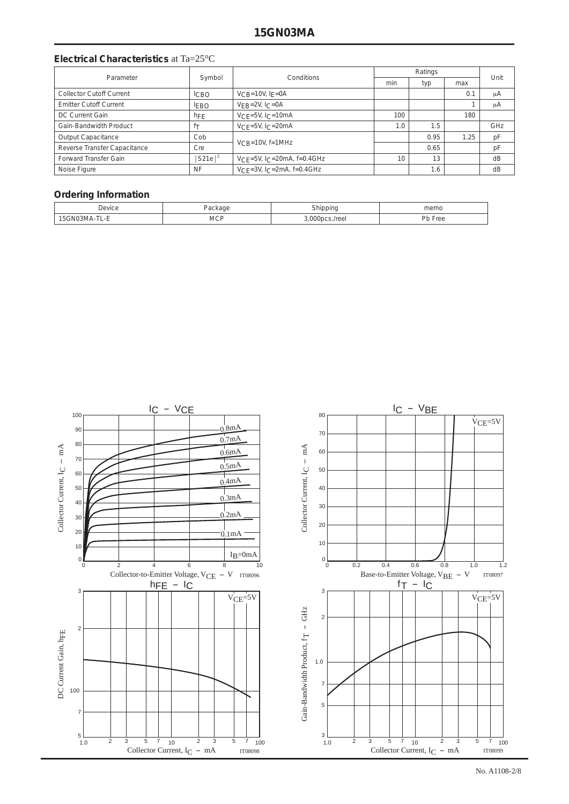#### **Electrical Characteristics** at Ta=25°C

| Parameter                     | Symbol              | Conditions                          |     |      | Unit |     |
|-------------------------------|---------------------|-------------------------------------|-----|------|------|-----|
|                               |                     |                                     | min | typ  | max  |     |
| Collector Cutoff Current      | <b>ICBO</b>         | $VCB=10V$ , $IE=0A$                 |     |      | 0.1  | μA  |
| <b>Emitter Cutoff Current</b> | <b>EBO</b>          | $VFB=2V, IC=0A$                     |     |      |      | μA  |
| DC Current Gain               | $h_{\text{FE}}$     | $VCF=5V, IC=10mA$                   | 100 |      | 180  |     |
| Gain-Bandwidth Product        |                     | $VCF=5V, IC=20mA$                   | 1.0 | 1.5  |      | GHz |
| <b>Output Capacitance</b>     | Cob                 | $VCR = 10V$ , $f = 1MHz$            |     | 0.95 | 1.25 | pF  |
| Reverse Transfer Capacitance  | Cre                 |                                     |     | 0.65 |      | pF  |
| Forward Transfer Gain         | $S21e$ <sup>2</sup> | $VCF = 5V$ , IC = 20mA, f = 0.4 GHz | 10  | 13   |      | dB  |
| Noise Figure                  | <b>NF</b>           | $VCF = 3V$ , IC=2mA, f=0.4GHz       |     | 1.6  |      | dB  |

#### **Ordering Information**

| -      |            |         |                             |
|--------|------------|---------|-----------------------------|
| Jevice | .          | hinning | memo                        |
|        | <b>MCF</b> |         | Ero,<br>- 21<br>-166<br>'N. |

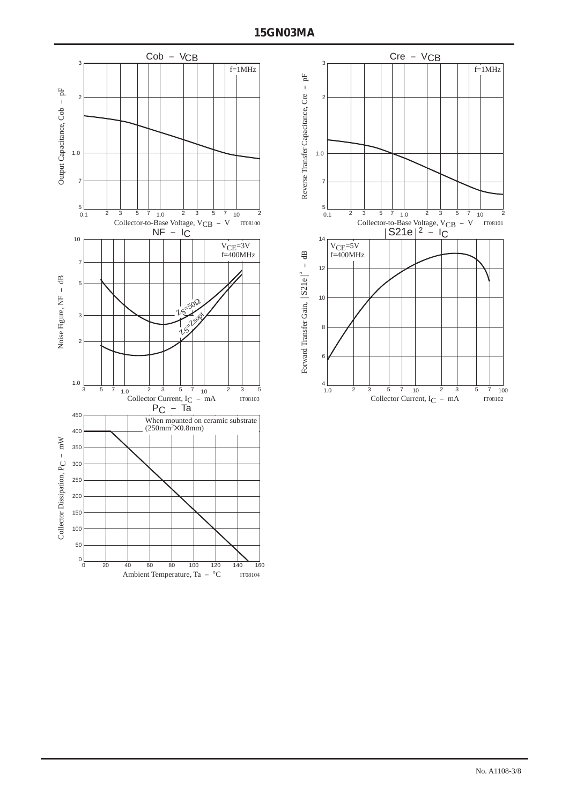

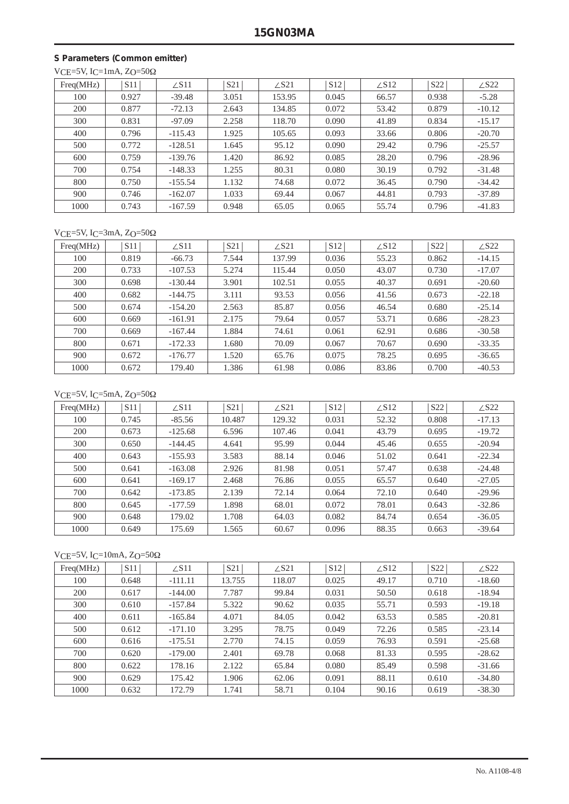## **S Parameters (Common emitter)**

#### VCE=5V, IC=1mA,  $ZO=50\Omega$

| Freq(MHz) | <b>S11</b> | $\angle$ S11 | S <sub>21</sub> | $\angle$ S21 | S <sub>12</sub> | $\angle$ S12 | S <sub>22</sub> | $\angle$ S22 |
|-----------|------------|--------------|-----------------|--------------|-----------------|--------------|-----------------|--------------|
| 100       | 0.927      | $-39.48$     | 3.051           | 153.95       | 0.045           | 66.57        | 0.938           | $-5.28$      |
| 200       | 0.877      | $-72.13$     | 2.643           | 134.85       | 0.072           | 53.42        | 0.879           | $-10.12$     |
| 300       | 0.831      | $-97.09$     | 2.258           | 118.70       | 0.090           | 41.89        | 0.834           | $-15.17$     |
| 400       | 0.796      | $-115.43$    | 1.925           | 105.65       | 0.093           | 33.66        | 0.806           | $-20.70$     |
| 500       | 0.772      | $-128.51$    | 1.645           | 95.12        | 0.090           | 29.42        | 0.796           | $-25.57$     |
| 600       | 0.759      | $-139.76$    | 1.420           | 86.92        | 0.085           | 28.20        | 0.796           | $-28.96$     |
| 700       | 0.754      | $-148.33$    | 1.255           | 80.31        | 0.080           | 30.19        | 0.792           | $-31.48$     |
| 800       | 0.750      | $-155.54$    | 1.132           | 74.68        | 0.072           | 36.45        | 0.790           | $-34.42$     |
| 900       | 0.746      | $-162.07$    | 1.033           | 69.44        | 0.067           | 44.81        | 0.793           | $-37.89$     |
| 1000      | 0.743      | $-167.59$    | 0.948           | 65.05        | 0.065           | 55.74        | 0.796           | $-41.83$     |

#### VCE=5V, IC=3mA, ZO=50 $\Omega$

| Freq(MHz) | <b>S11</b> | $\angle$ S11 | S <sub>21</sub> | $/$ S21 | S <sub>12</sub> | $\angle$ S12 | S <sub>22</sub> | $/$ S22  |
|-----------|------------|--------------|-----------------|---------|-----------------|--------------|-----------------|----------|
| 100       | 0.819      | $-66.73$     | 7.544           | 137.99  | 0.036           | 55.23        | 0.862           | $-14.15$ |
| 200       | 0.733      | $-107.53$    | 5.274           | 115.44  | 0.050           | 43.07        | 0.730           | $-17.07$ |
| 300       | 0.698      | $-130.44$    | 3.901           | 102.51  | 0.055           | 40.37        | 0.691           | $-20.60$ |
| 400       | 0.682      | $-144.75$    | 3.111           | 93.53   | 0.056           | 41.56        | 0.673           | $-22.18$ |
| 500       | 0.674      | $-154.20$    | 2.563           | 85.87   | 0.056           | 46.54        | 0.680           | $-25.14$ |
| 600       | 0.669      | $-161.91$    | 2.175           | 79.64   | 0.057           | 53.71        | 0.686           | $-28.23$ |
| 700       | 0.669      | $-167.44$    | 1.884           | 74.61   | 0.061           | 62.91        | 0.686           | $-30.58$ |
| 800       | 0.671      | $-172.33$    | 1.680           | 70.09   | 0.067           | 70.67        | 0.690           | $-33.35$ |
| 900       | 0.672      | $-176.77$    | 1.520           | 65.76   | 0.075           | 78.25        | 0.695           | $-36.65$ |
| 1000      | 0.672      | 179.40       | 1.386           | 61.98   | 0.086           | 83.86        | 0.700           | $-40.53$ |

#### VCE=5V, IC=5mA, ZO=50Ω

| Freq(MHz) | <b>S11</b> | $\angle$ S11 | S <sub>21</sub> | $\angle$ S21 | S <sub>12</sub> | $\angle$ S12 | S <sub>22</sub> | $\angle$ S22 |
|-----------|------------|--------------|-----------------|--------------|-----------------|--------------|-----------------|--------------|
| 100       | 0.745      | $-85.56$     | 10.487          | 129.32       | 0.031           | 52.32        | 0.808           | $-17.13$     |
| 200       | 0.673      | $-125.68$    | 6.596           | 107.46       | 0.041           | 43.79        | 0.695           | $-19.72$     |
| 300       | 0.650      | $-144.45$    | 4.641           | 95.99        | 0.044           | 45.46        | 0.655           | $-20.94$     |
| 400       | 0.643      | $-155.93$    | 3.583           | 88.14        | 0.046           | 51.02        | 0.641           | $-22.34$     |
| 500       | 0.641      | $-163.08$    | 2.926           | 81.98        | 0.051           | 57.47        | 0.638           | $-24.48$     |
| 600       | 0.641      | $-169.17$    | 2.468           | 76.86        | 0.055           | 65.57        | 0.640           | $-27.05$     |
| 700       | 0.642      | $-173.85$    | 2.139           | 72.14        | 0.064           | 72.10        | 0.640           | $-29.96$     |
| 800       | 0.645      | $-177.59$    | 1.898           | 68.01        | 0.072           | 78.01        | 0.643           | $-32.86$     |
| 900       | 0.648      | 179.02       | 1.708           | 64.03        | 0.082           | 84.74        | 0.654           | $-36.05$     |
| 1000      | 0.649      | 175.69       | 1.565           | 60.67        | 0.096           | 88.35        | 0.663           | $-39.64$     |

#### V<sub>CE</sub>=5V, I<sub>C</sub>=10mA, Z<sub>O</sub>=50Ω

| Freq(MHz) | S <sub>11</sub> | $\angle$ S11 | S <sub>21</sub> | $\angle$ S21 | S <sub>12</sub> | $\angle$ S12 | S <sub>22</sub> | $\angle$ S22 |
|-----------|-----------------|--------------|-----------------|--------------|-----------------|--------------|-----------------|--------------|
| 100       | 0.648           | $-111.11$    | 13.755          | 118.07       | 0.025           | 49.17        | 0.710           | $-18.60$     |
| 200       | 0.617           | $-144.00$    | 7.787           | 99.84        | 0.031           | 50.50        | 0.618           | $-18.94$     |
| 300       | 0.610           | $-157.84$    | 5.322           | 90.62        | 0.035           | 55.71        | 0.593           | $-19.18$     |
| 400       | 0.611           | $-165.84$    | 4.071           | 84.05        | 0.042           | 63.53        | 0.585           | $-20.81$     |
| 500       | 0.612           | $-171.10$    | 3.295           | 78.75        | 0.049           | 72.26        | 0.585           | $-23.14$     |
| 600       | 0.616           | $-175.51$    | 2.770           | 74.15        | 0.059           | 76.93        | 0.591           | $-25.68$     |
| 700       | 0.620           | $-179.00$    | 2.401           | 69.78        | 0.068           | 81.33        | 0.595           | $-28.62$     |
| 800       | 0.622           | 178.16       | 2.122           | 65.84        | 0.080           | 85.49        | 0.598           | $-31.66$     |
| 900       | 0.629           | 175.42       | 1.906           | 62.06        | 0.091           | 88.11        | 0.610           | $-34.80$     |
| 1000      | 0.632           | 172.79       | 1.741           | 58.71        | 0.104           | 90.16        | 0.619           | $-38.30$     |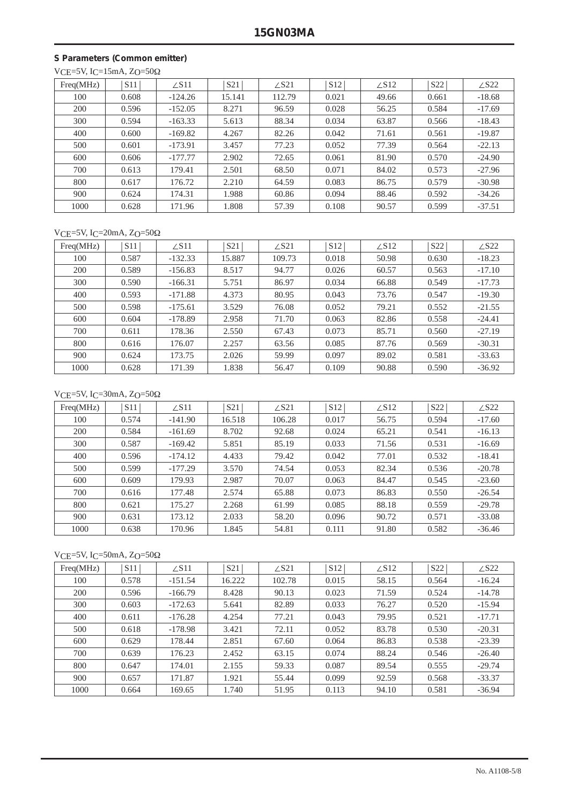## **S Parameters (Common emitter)**

#### VCE=5V, IC=15mA, ZO=50Ω

| Freq(MHz) | S <sub>11</sub> | $\angle$ S11 | S <sub>21</sub> | $\angle$ S21 | S <sub>12</sub> | $\angle$ S12 | S <sub>22</sub> | $\angle$ S22 |
|-----------|-----------------|--------------|-----------------|--------------|-----------------|--------------|-----------------|--------------|
| 100       | 0.608           | $-124.26$    | 15.141          | 112.79       | 0.021           | 49.66        | 0.661           | $-18.68$     |
| 200       | 0.596           | $-152.05$    | 8.271           | 96.59        | 0.028           | 56.25        | 0.584           | $-17.69$     |
| 300       | 0.594           | $-163.33$    | 5.613           | 88.34        | 0.034           | 63.87        | 0.566           | $-18.43$     |
| 400       | 0.600           | $-169.82$    | 4.267           | 82.26        | 0.042           | 71.61        | 0.561           | $-19.87$     |
| 500       | 0.601           | $-173.91$    | 3.457           | 77.23        | 0.052           | 77.39        | 0.564           | $-22.13$     |
| 600       | 0.606           | $-177.77$    | 2.902           | 72.65        | 0.061           | 81.90        | 0.570           | $-24.90$     |
| 700       | 0.613           | 179.41       | 2.501           | 68.50        | 0.071           | 84.02        | 0.573           | $-27.96$     |
| 800       | 0.617           | 176.72       | 2.210           | 64.59        | 0.083           | 86.75        | 0.579           | $-30.98$     |
| 900       | 0.624           | 174.31       | 1.988           | 60.86        | 0.094           | 88.46        | 0.592           | $-34.26$     |
| 1000      | 0.628           | 171.96       | 1.808           | 57.39        | 0.108           | 90.57        | 0.599           | $-37.51$     |

#### VCE=5V, IC=20mA, ZO=50Ω

| Freq(MHz) | <b>S11</b> | $\angle$ S11 | S <sub>21</sub> | $\angle$ S21 | S <sub>12</sub> | $\angle$ S12 | S <sub>22</sub> | $\angle$ S22 |
|-----------|------------|--------------|-----------------|--------------|-----------------|--------------|-----------------|--------------|
| 100       | 0.587      | $-132.33$    | 15.887          | 109.73       | 0.018           | 50.98        | 0.630           | $-18.23$     |
| 200       | 0.589      | $-156.83$    | 8.517           | 94.77        | 0.026           | 60.57        | 0.563           | $-17.10$     |
| 300       | 0.590      | $-166.31$    | 5.751           | 86.97        | 0.034           | 66.88        | 0.549           | $-17.73$     |
| 400       | 0.593      | $-171.88$    | 4.373           | 80.95        | 0.043           | 73.76        | 0.547           | $-19.30$     |
| 500       | 0.598      | $-175.61$    | 3.529           | 76.08        | 0.052           | 79.21        | 0.552           | $-21.55$     |
| 600       | 0.604      | $-178.89$    | 2.958           | 71.70        | 0.063           | 82.86        | 0.558           | $-24.41$     |
| 700       | 0.611      | 178.36       | 2.550           | 67.43        | 0.073           | 85.71        | 0.560           | $-27.19$     |
| 800       | 0.616      | 176.07       | 2.257           | 63.56        | 0.085           | 87.76        | 0.569           | $-30.31$     |
| 900       | 0.624      | 173.75       | 2.026           | 59.99        | 0.097           | 89.02        | 0.581           | $-33.63$     |
| 1000      | 0.628      | 171.39       | 1.838           | 56.47        | 0.109           | 90.88        | 0.590           | $-36.92$     |

#### VCE=5V, IC=30mA, ZO=50Ω

| Freq(MHz) | S <sub>11</sub> | $\angle$ S11 | S <sub>21</sub> | $\angle$ S21 | S <sub>12</sub> | $\angle$ S12 | S <sub>22</sub> | $\angle$ S22 |
|-----------|-----------------|--------------|-----------------|--------------|-----------------|--------------|-----------------|--------------|
| 100       | 0.574           | $-141.90$    | 16.518          | 106.28       | 0.017           | 56.75        | 0.594           | $-17.60$     |
| 200       | 0.584           | $-161.69$    | 8.702           | 92.68        | 0.024           | 65.21        | 0.541           | $-16.13$     |
| 300       | 0.587           | $-169.42$    | 5.851           | 85.19        | 0.033           | 71.56        | 0.531           | $-16.69$     |
| 400       | 0.596           | $-174.12$    | 4.433           | 79.42        | 0.042           | 77.01        | 0.532           | $-18.41$     |
| 500       | 0.599           | $-177.29$    | 3.570           | 74.54        | 0.053           | 82.34        | 0.536           | $-20.78$     |
| 600       | 0.609           | 179.93       | 2.987           | 70.07        | 0.063           | 84.47        | 0.545           | $-23.60$     |
| 700       | 0.616           | 177.48       | 2.574           | 65.88        | 0.073           | 86.83        | 0.550           | $-26.54$     |
| 800       | 0.621           | 175.27       | 2.268           | 61.99        | 0.085           | 88.18        | 0.559           | $-29.78$     |
| 900       | 0.631           | 173.12       | 2.033           | 58.20        | 0.096           | 90.72        | 0.571           | $-33.08$     |
| 1000      | 0.638           | 170.96       | 1.845           | 54.81        | 0.111           | 91.80        | 0.582           | $-36.46$     |

# VCE=5V, IC=50mA, ZO=50Ω

| Freq(MHz) | S <sub>11</sub> | $\angle$ S11 | S <sub>21</sub> | $\angle$ S21 | S <sub>12</sub> | $\angle$ S12 | S <sub>22</sub> | $\angle$ S22 |
|-----------|-----------------|--------------|-----------------|--------------|-----------------|--------------|-----------------|--------------|
| 100       | 0.578           | $-151.54$    | 16.222          | 102.78       | 0.015           | 58.15        | 0.564           | $-16.24$     |
| 200       | 0.596           | $-166.79$    | 8.428           | 90.13        | 0.023           | 71.59        | 0.524           | $-14.78$     |
| 300       | 0.603           | $-172.63$    | 5.641           | 82.89        | 0.033           | 76.27        | 0.520           | $-15.94$     |
| 400       | 0.611           | $-176.28$    | 4.254           | 77.21        | 0.043           | 79.95        | 0.521           | $-17.71$     |
| 500       | 0.618           | $-178.98$    | 3.421           | 72.11        | 0.052           | 83.78        | 0.530           | $-20.31$     |
| 600       | 0.629           | 178.44       | 2.851           | 67.60        | 0.064           | 86.83        | 0.538           | $-23.39$     |
| 700       | 0.639           | 176.23       | 2.452           | 63.15        | 0.074           | 88.24        | 0.546           | $-26.40$     |
| 800       | 0.647           | 174.01       | 2.155           | 59.33        | 0.087           | 89.54        | 0.555           | $-29.74$     |
| 900       | 0.657           | 171.87       | 1.921           | 55.44        | 0.099           | 92.59        | 0.568           | $-33.37$     |
| 1000      | 0.664           | 169.65       | 1.740           | 51.95        | 0.113           | 94.10        | 0.581           | $-36.94$     |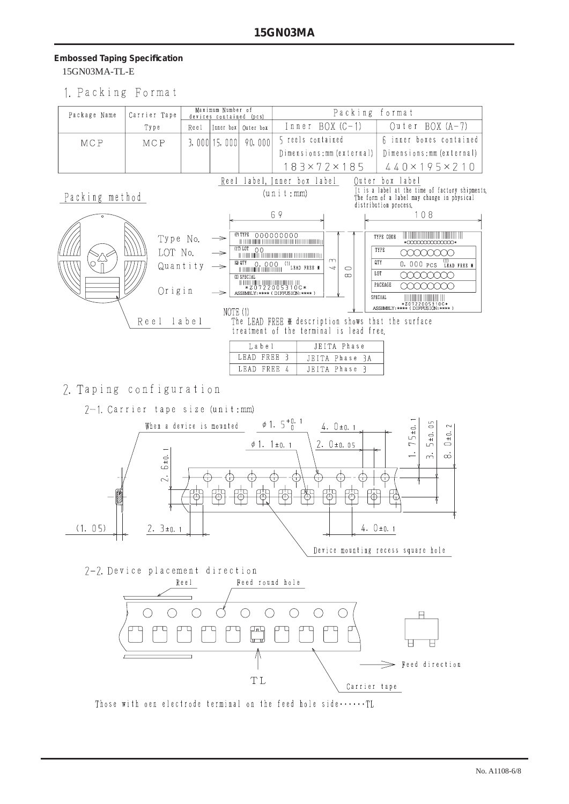# **Embossed Taping Specifi cation**

15GN03MA-TL-E

1. Packing Format



2. Taping configuration

7-1. Carrier tape size (unit:mm)



Carrier tape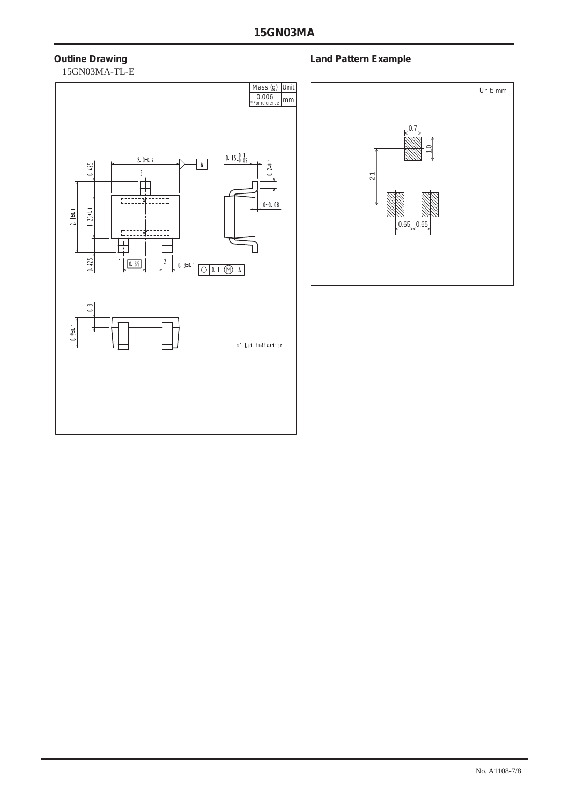# 15GN03MA-TL-E



# **Outline Drawing Community Community Community Community Community Community Community Community Community Community**